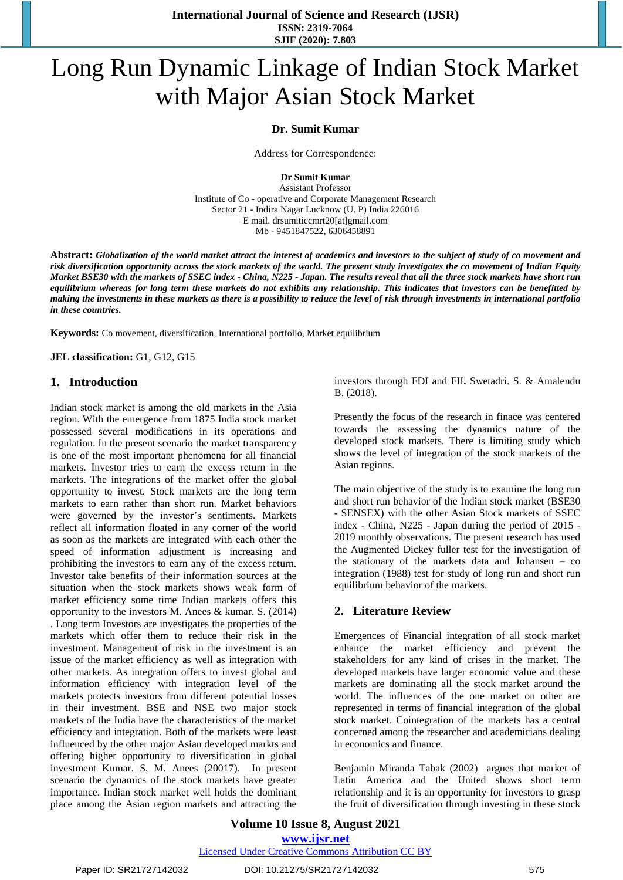**International Journal of Science and Research (IJSR) ISSN: 2319-7064 SJIF (2020): 7.803**

# Long Run Dynamic Linkage of Indian Stock Market with Major Asian Stock Market

#### **Dr. Sumit Kumar**

Address for Correspondence:

**Dr Sumit Kumar**

Assistant Professor Institute of Co - operative and Corporate Management Research Sector 21 - Indira Nagar Lucknow (U. P) India 226016 E mail. drsumiticcmrt20[at]gmail.com Mb - 9451847522, 6306458891

Abstract: Globalization of the world market attract the interest of academics and investors to the subject of study of co movement and risk diversification opportunity across the stock markets of the world. The present study investigates the co movement of Indian Equity Market BSE30 with the markets of SSEC index - China, N225 - Japan. The results reveal that all the three stock markets have short run equilibrium whereas for long term these markets do not exhibits any relationship. This indicates that investors can be benefitted by making the investments in these markets as there is a possibility to reduce the level of risk through investments in international portfolio *in these countries.*

**Keywords:** Co movement, diversification, International portfolio, Market equilibrium

**JEL classification:** G1, G12, G15

#### **1. Introduction**

Indian stock market is among the old markets in the Asia region. With the emergence from 1875 India stock market possessed several modifications in its operations and regulation. In the present scenario the market transparency is one of the most important phenomena for all financial markets. Investor tries to earn the excess return in the markets. The integrations of the market offer the global opportunity to invest. Stock markets are the long term markets to earn rather than short run. Market behaviors were governed by the investor's sentiments. Markets reflect all information floated in any corner of the world as soon as the markets are integrated with each other the speed of information adjustment is increasing and prohibiting the investors to earn any of the excess return. Investor take benefits of their information sources at the situation when the stock markets shows weak form of market efficiency some time Indian markets offers this opportunity to the investors M. Anees & [kumar. S. \(2014\)](#page-3-0)  . Long term Investors are investigates the properties of the markets which offer them to reduce their risk in the investment. Management of risk in the investment is an issue of the market efficiency as well as integration with other markets. As integration offers to invest global and information efficiency with integration level of the markets protects investors from different potential losses in their investment. BSE and NSE two major stock markets of the India have the characteristics of the market efficiency and integration. Both of the markets were least influenced by the other major Asian developed markts and offering higher opportunity to diversification in global investment [Kumar. S, M. Anees](#page-3-1) (20017). In present scenario the dynamics of the stock markets have greater importance. Indian stock market well holds the dominant place among the Asian region markets and attracting the investors through FDI and FII**.** [Swetadri. S. &](#page-3-2) Amalendu [B. \(2018\).](#page-3-2) 

Presently the focus of the research in finace was centered towards the assessing the dynamics nature of the developed stock markets. There is limiting study which shows the level of integration of the stock markets of the Asian regions.

The main objective of the study is to examine the long run and short run behavior of the Indian stock market (BSE30 - SENSEX) with the other Asian Stock markets of SSEC index - China, N225 - Japan during the period of 2015 - 2019 monthly observations. The present research has used the Augmented Dickey fuller test for the investigation of the stationary of the markets data and Johansen – co integration (1988) test for study of long run and short run equilibrium behavior of the markets.

## **2. Literature Review**

Emergences of Financial integration of all stock market enhance the market efficiency and prevent the stakeholders for any kind of crises in the market. The developed markets have larger economic value and these markets are dominating all the stock market around the world. The influences of the one market on other are represented in terms of financial integration of the global stock market. Cointegration of the markets has a central concerned among the researcher and academicians dealing in economics and finance.

[Benjamin](#page-3-3) Miranda Tabak (2002) argues that market of Latin America and the United shows short term relationship and it is an opportunity for investors to grasp the fruit of diversification through investing in these stock

## **Volume 10 Issue 8, August 2021 www.ijsr.net**

Licensed Under Creative Commons Attribution CC BY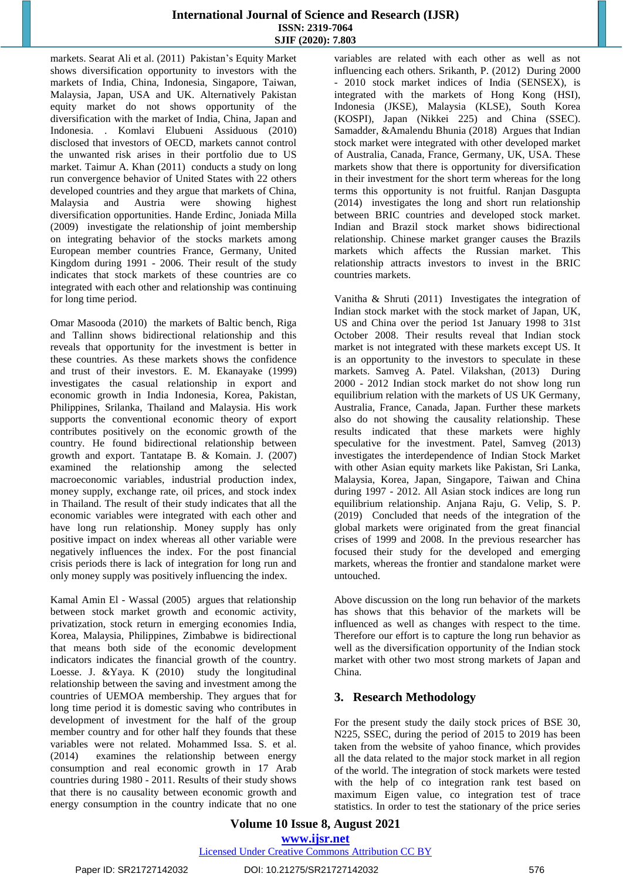### **International Journal of Science and Research (IJSR) ISSN: 2319-7064 SJIF (2020): 7.803**

markets. Searat Ali et [al. \(2011\) P](#page-2-0)akistan's Equity Market shows diversification opportunity to investors with the markets of India, China, Indonesia, Singapore, Taiwan, Malaysia, Japan, USA and UK. Alternatively Pakistan equity market do not shows opportunity of the diversification with the market of India, China, Japan and Indonesia. . Komlavi Elubueni [Assiduous](#page-3-2) (2010) disclosed that investors of OECD, markets cannot control the unwanted risk arises in their portfolio due to US market. Taimur [A. Khan](#page-3-4) (2011) conducts a study on long run convergence behavior of United States with 22 others developed countries and they argue that markets of China, Malaysia and Austria were showing highest diversification opportunities. Hande [Erdinc, Joniada](#page-3-5) Milla [\(2009\)](#page-3-5) investigate the relationship of joint membership on integrating behavior of the stocks markets among European member countries France, Germany, United Kingdom during 1991 - 2006. Their result of the study indicates that stock markets of these countries are co integrated with each other and relationship was continuing for long time period.

Omar [Masooda](#page-3-6) (2010) the markets of Baltic bench, Riga and Tallinn shows bidirectional relationship and this reveals that opportunity for the investment is better in these countries. As these markets shows the confidence and trust of their investors. [E. M. Ekanayake](#page-3-7) (1999) investigates the casual relationship in export and economic growth in India Indonesia, Korea, Pakistan, Philippines, Srilanka, Thailand and Malaysia. His work supports the conventional economic theory of export contributes positively on the economic growth of the country. He found bidirectional relationship between growth and export. Tantatape B. & [Komain. J. \(2007\)](#page-3-8)  examined the relationship among the selected macroeconomic variables, industrial production index, money supply, exchange rate, oil prices, and stock index in Thailand. The result of their study indicates that all the economic variables were integrated with each other and have long run relationship. Money supply has only positive impact on index whereas all other variable were negatively influences the index. For the post financial crisis periods there is lack of integration for long run and only money supply was positively influencing the index.

Kamal Amin El - Wassal [\(2005\)](#page-3-9) argues that relationship between stock market growth and economic activity, privatization, stock return in emerging economies India, Korea, Malaysia, Philippines, Zimbabwe is bidirectional that means both side of the economic development indicators indicates the financial growth of the countr[y.](#page-3-10)  [Loesse. J. &Yaya. K](#page-3-10) (2010) study the longitudinal relationship between the saving and investment among the countries of UEMOA membership. They argues that for long time period it is domestic saving who contributes in development of investment for the half of the group member country and for other half they founds that these variables were not related. [Mohammed](#page-3-11) Issa. S. et al. [\(2014\)](#page-3-11) examines the relationship between energy consumption and real economic growth in 17 Arab countries during 1980 - 2011. Results of their study shows that there is no causality between economic growth and energy consumption in the country indicate that no one variables are related with each other as well as not influencing each others. [Srikanth, P. \(2012\)](#page-3-12) During 2000 - 2010 stock market indices of India (SENSEX), is integrated with the markets of Hong Kong (HSI), Indonesia (JKSE), Malaysia (KLSE), South Korea (KOSPI), Japan (Nikkei 225) and China (SSEC). [Samadder, &Amalendu](#page-3-13) Bhunia (2018) Argues that Indian stock market were integrated with other developed market of Australia, Canada, France, Germany, UK, USA. These markets show that there is opportunity for diversification in their investment for the short term whereas for the long terms this opportunity is not fruitful. Ranjan [Dasgupta](#page-3-14) [\(2014\)](#page-3-14) investigates the long and short run relationship between BRIC countries and developed stock market. Indian and Brazil stock market shows bidirectional relationship. Chinese market granger causes the Brazils markets which affects the Russian market. This relationship attracts investors to invest in the BRIC countries markets.

Vanitha & Shruti [\(2011\)](#page-3-15) Investigates the integration of Indian stock market with the stock market of Japan, UK, US and China over the period 1st January 1998 to 31st October 2008. Their results reveal that Indian stock market is not integrated with these markets except US. It is an opportunity to the investors to speculate in these markets. Samveg [A. Patel. Vilakshan, \(2013\)](#page-3-16) During 2000 - 2012 Indian stock market do not show long run equilibrium relation with the markets of US UK Germany, Australia, France, Canada, Japan. Further these markets also do not showing the causality relationship. These results indicated that these markets were highly speculative for the investment. [Patel, Samveg](#page-3-16) (2013) investigates the interdependence of Indian Stock Market with other Asian equity markets like Pakistan, Sri Lanka, Malaysia, Korea, Japan, Singapore, Taiwan and China during 1997 - 2012. All Asian stock indices are long run equilibrium relationship. [Anjana](#page-3-17) Raju, G. Velip, S. P. [\(2019\)](#page-3-17) Concluded that needs of the integration of the global markets were originated from the great financial crises of 1999 and 2008. In the previous researcher has focused their study for the developed and emerging markets, whereas the frontier and standalone market were untouched.

Above discussion on the long run behavior of the markets has shows that this behavior of the markets will be influenced as well as changes with respect to the time. Therefore our effort is to capture the long run behavior as well as the diversification opportunity of the Indian stock market with other two most strong markets of Japan and China.

# **3. Research Methodology**

For the present study the daily stock prices of BSE 30, N225, SSEC, during the period of 2015 to 2019 has been taken from the website of yahoo finance, which provides all the data related to the major stock market in all region of the world. The integration of stock markets were tested with the help of co integration rank test based on maximum Eigen value, co integration test of trace statistics. In order to test the stationary of the price series

## **Volume 10 Issue 8, August 2021 www.ijsr.net**

#### Licensed Under Creative Commons Attribution CC BY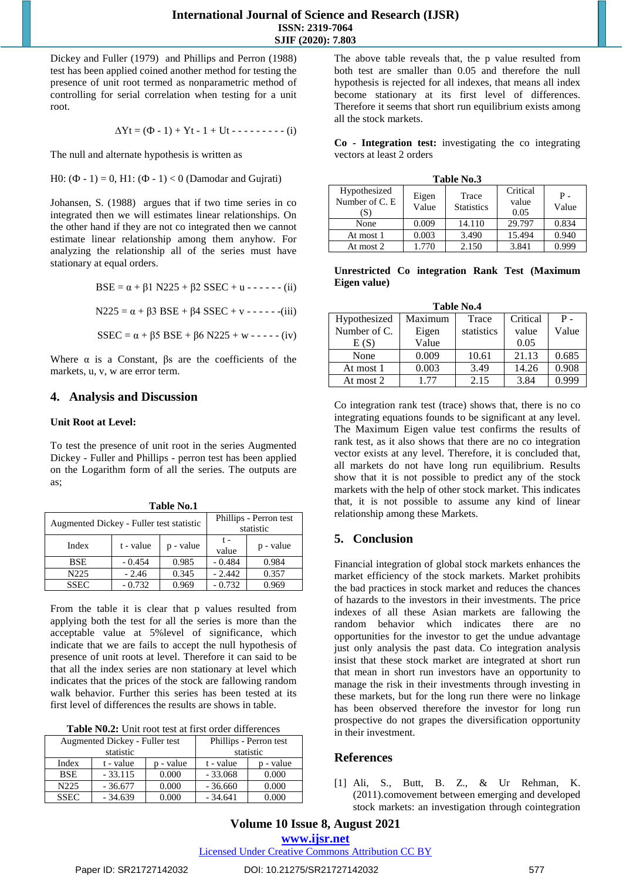Dickey and Fuller [\(1979\)](#page-3-18) and Phillips and Perron (1988) test has been applied coined another method for testing the presence of unit root termed as nonparametric method of controlling for serial correlation when testing for a unit root.

$$
\Delta Yt = (\Phi - 1) + Yt - 1 + Ut - \cdots - (-1)
$$

The null and alternate hypothesis is written as

H0:  $(\Phi - 1) = 0$ , H1:  $(\Phi - 1) < 0$  [\(Damodar](#page-3-19) and Gujrati)

[Johansen, S. \(1988\)](#page-3-20) argues that if two time series in co integrated then we will estimates linear relationships. On the other hand if they are not co integrated then we cannot estimate linear relationship among them anyhow. For analyzing the relationship all of the series must have stationary at equal orders.

BSE =  $\alpha$  +  $\beta$ 1 N225 +  $\beta$ 2 SSEC + u - - - - - - (ii)

N225 = α + β3 BSE + β4 SSEC + v - - - - - -(iii)

SSEC =  $\alpha$  +  $\beta$ 5 BSE +  $\beta$ 6 N225 + w - - - - - (iv)

Where  $\alpha$  is a Constant,  $\beta s$  are the coefficients of the markets, u, v, w are error term.

#### **4. Analysis and Discussion**

#### **Unit Root at Level:**

To test the presence of unit root in the series Augmented Dickey - Fuller and Phillips - perron test has been applied on the Logarithm form of all the series. The outputs are as;

**Table No.1**

| Table No.1                               |           |           |                                     |           |  |
|------------------------------------------|-----------|-----------|-------------------------------------|-----------|--|
| Augmented Dickey - Fuller test statistic |           |           | Phillips - Perron test<br>statistic |           |  |
| Index                                    | t - value | p - value | $t -$<br>value                      | p - value |  |
| <b>BSE</b>                               | $-0.454$  | 0.985     | $-0.484$                            | 0.984     |  |
| N <sub>225</sub>                         | $-2.46$   | 0.345     | $-2.442$                            | 0.357     |  |
| <b>SSEC</b>                              | $-0.732$  | 0.969     | $-0.732$                            | 0.969     |  |

From the table it is clear that p values resulted from applying both the test for all the series is more than the acceptable value at 5%level of significance, which indicate that we are fails to accept the null hypothesis of presence of unit roots at level. Therefore it can said to be that all the index series are non stationary at level which indicates that the prices of the stock are fallowing random walk behavior. Further this series has been tested at its first level of differences the results are shows in table.

| <b>Table N0.2:</b> Unit root test at first order differences |  |  |
|--------------------------------------------------------------|--|--|
|--------------------------------------------------------------|--|--|

| Augmented Dickey - Fuller test<br>statistic |           |           | Phillips - Perron test<br>statistic |           |  |
|---------------------------------------------|-----------|-----------|-------------------------------------|-----------|--|
| Index                                       | t - value | p - value | t - value                           | p - value |  |
| <b>BSE</b>                                  | $-33.115$ | 0.000     | $-33.068$                           | 0.000     |  |
| N <sub>225</sub>                            | $-36.677$ | 0.000     | $-36.660$                           | 0.000     |  |
| <b>SSEC</b>                                 | $-34.639$ | 0.000     | $-34.641$                           | 0.000     |  |

The above table reveals that, the p value resulted from both test are smaller than 0.05 and therefore the null hypothesis is rejected for all indexes, that means all index become stationary at its first level of differences. Therefore it seems that short run equilibrium exists among all the stock markets.

**Co - Integration test:** investigating the co integrating vectors at least 2 orders

| Table No.3                             |                |                            |                           |              |  |
|----------------------------------------|----------------|----------------------------|---------------------------|--------------|--|
| Hypothesized<br>Number of C. E.<br>(S) | Eigen<br>Value | Trace<br><b>Statistics</b> | Critical<br>value<br>0.05 | Р -<br>Value |  |
| None                                   | 0.009          | 14.110                     | 29.797                    | 0.834        |  |
| At most 1                              | 0.003          | 3.490                      | 15.494                    | 0.940        |  |
| At most 2                              | 1.770          | 2.150                      | 3.841                     | 0.999        |  |

**Unrestricted Co integration Rank Test (Maximum Eigen value)**

| <b>Table No.4</b> |         |            |          |       |  |
|-------------------|---------|------------|----------|-------|--|
| Hypothesized      | Maximum | Trace      | Critical | Ρ.    |  |
| Number of C.      | Eigen   | statistics | value    | Value |  |
| E(S)              | Value   |            | 0.05     |       |  |
| None              | 0.009   | 10.61      | 21.13    | 0.685 |  |
| At most 1         | 0.003   | 3.49       | 14.26    | 0.908 |  |
| At most 2         | 1 77    | 2.15       | 3.84     | 0.999 |  |

Co integration rank test (trace) shows that, there is no co integrating equations founds to be significant at any level. The Maximum Eigen value test confirms the results of rank test, as it also shows that there are no co integration vector exists at any level. Therefore, it is concluded that, all markets do not have long run equilibrium. Results show that it is not possible to predict any of the stock markets with the help of other stock market. This indicates that, it is not possible to assume any kind of linear relationship among these Markets.

# **5. Conclusion**

Financial integration of global stock markets enhances the market efficiency of the stock markets. Market prohibits the bad practices in stock market and reduces the chances of hazards to the investors in their investments. The price indexes of all these Asian markets are fallowing the random behavior which indicates there are no opportunities for the investor to get the undue advantage just only analysis the past data. Co integration analysis insist that these stock market are integrated at short run that mean in short run investors have an opportunity to manage the risk in their investments through investing in these markets, but for the long run there were no linkage has been observed therefore the investor for long run prospective do not grapes the diversification opportunity in their investment.

## <span id="page-2-0"></span>**References**

[1] Ali, S., Butt, B. Z., & Ur Rehman, K. (2011).comovement between emerging and developed stock markets: an investigation through cointegration

**Volume 10 Issue 8, August 2021 www.ijsr.net**

Licensed Under Creative Commons Attribution CC BY